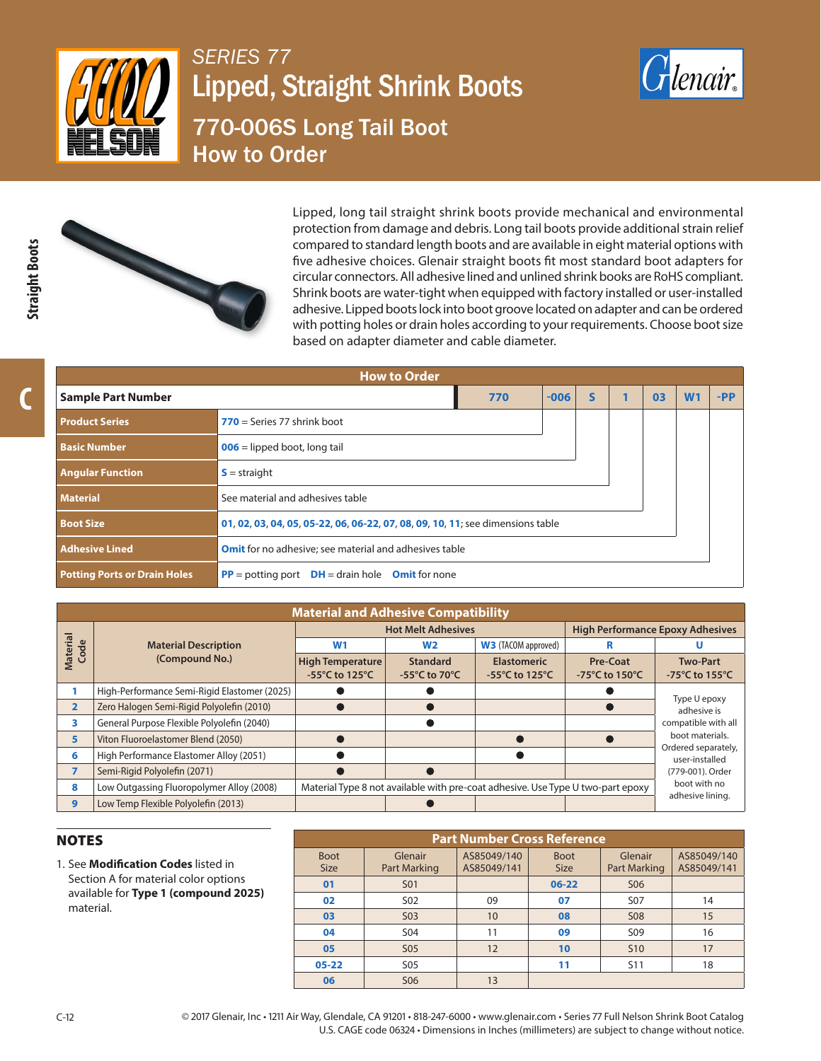

# *SERIES 77*  Lipped, Straight Shrink Boots 770-006S Long Tail Boot How to Order





Lipped, long tail straight shrink boots provide mechanical and environmental protection from damage and debris. Long tail boots provide additional strain relief compared to standard length boots and are available in eight material options with five adhesive choices. Glenair straight boots fit most standard boot adapters for circular connectors. All adhesive lined and unlined shrink books are RoHS compliant. Shrink boots are water-tight when equipped with factory installed or user-installed adhesive. Lipped boots lock into boot groove located on adapter and can be ordered with potting holes or drain holes according to your requirements. Choose boot size based on adapter diameter and cable diameter.

| <b>How to Order</b>                 |                                                                                |     |        |   |  |    |    |       |  |
|-------------------------------------|--------------------------------------------------------------------------------|-----|--------|---|--|----|----|-------|--|
| <b>Sample Part Number</b>           |                                                                                | 770 | $-006$ | S |  | 03 | W1 | $-PP$ |  |
| <b>Product Series</b>               | $770$ = Series 77 shrink boot                                                  |     |        |   |  |    |    |       |  |
| <b>Basic Number</b>                 | $006$ = lipped boot, long tail                                                 |     |        |   |  |    |    |       |  |
| <b>Angular Function</b>             | $S =$ straight                                                                 |     |        |   |  |    |    |       |  |
| <b>Material</b>                     | See material and adhesives table                                               |     |        |   |  |    |    |       |  |
| <b>Boot Size</b>                    | 01, 02, 03, 04, 05, 05-22, 06, 06-22, 07, 08, 09, 10, 11; see dimensions table |     |        |   |  |    |    |       |  |
| <b>Adhesive Lined</b>               | <b>Omit</b> for no adhesive; see material and adhesives table                  |     |        |   |  |    |    |       |  |
| <b>Potting Ports or Drain Holes</b> | $PP =$ potting port $DH =$ drain hole Omit for none                            |     |        |   |  |    |    |       |  |

| <b>Material and Adhesive Compatibility</b> |                                              |                                                                                 |                                                        |                                                          |                                                  |                                        |  |
|--------------------------------------------|----------------------------------------------|---------------------------------------------------------------------------------|--------------------------------------------------------|----------------------------------------------------------|--------------------------------------------------|----------------------------------------|--|
|                                            |                                              | <b>Hot Melt Adhesives</b>                                                       |                                                        |                                                          | <b>High Performance Epoxy Adhesives</b>          |                                        |  |
| Material<br>Code                           | <b>Material Description</b>                  | W <sub>1</sub>                                                                  | W2                                                     | <b>W3</b> (TACOM approved)                               |                                                  |                                        |  |
|                                            | (Compound No.)                               | <b>High Temperature</b><br>-55 $^{\circ}$ C to 125 $^{\circ}$ C                 | <b>Standard</b><br>-55 $^{\circ}$ C to 70 $^{\circ}$ C | <b>Elastomeric</b><br>-55 $\degree$ C to 125 $\degree$ C | Pre-Coat<br>-75 $^{\circ}$ C to 150 $^{\circ}$ C | <b>Two-Part</b><br>-75°C to 155°C      |  |
|                                            | High-Performance Semi-Rigid Elastomer (2025) |                                                                                 |                                                        |                                                          |                                                  |                                        |  |
| $\overline{2}$                             | Zero Halogen Semi-Rigid Polyolefin (2010)    |                                                                                 |                                                        |                                                          |                                                  | Type U epoxy<br>adhesive is            |  |
| 3                                          | General Purpose Flexible Polyolefin (2040)   |                                                                                 |                                                        |                                                          |                                                  | compatible with all                    |  |
| 5                                          | Viton Fluoroelastomer Blend (2050)           |                                                                                 |                                                        |                                                          |                                                  | boot materials.<br>Ordered separately, |  |
| 6                                          | High Performance Elastomer Alloy (2051)      |                                                                                 |                                                        |                                                          |                                                  | user-installed                         |  |
| $\overline{ }$                             | Semi-Rigid Polyolefin (2071)                 |                                                                                 |                                                        |                                                          |                                                  | (779-001). Order                       |  |
| 8                                          | Low Outgassing Fluoropolymer Alloy (2008)    | Material Type 8 not available with pre-coat adhesive. Use Type U two-part epoxy | boot with no<br>adhesive lining.                       |                                                          |                                                  |                                        |  |
| 9                                          | Low Temp Flexible Polyolefin (2013)          |                                                                                 |                                                        |                                                          |                                                  |                                        |  |

#### **NOTES**

1. See **Modification Codes** listed in Section A for material color options available for **Type 1 (compound 2025)**  material.

| <b>Part Number Cross Reference</b> |                                |                            |                            |                                |                            |  |  |
|------------------------------------|--------------------------------|----------------------------|----------------------------|--------------------------------|----------------------------|--|--|
| <b>Boot</b><br><b>Size</b>         | Glenair<br><b>Part Marking</b> | AS85049/140<br>AS85049/141 | <b>Boot</b><br><b>Size</b> | Glenair<br><b>Part Marking</b> | AS85049/140<br>AS85049/141 |  |  |
| 01                                 | <b>S01</b>                     |                            | $06 - 22$                  | S <sub>06</sub>                |                            |  |  |
| 02                                 | S <sub>0</sub> 2               | 09                         | 07                         | S <sub>07</sub>                | 14                         |  |  |
| 03                                 | S <sub>0</sub> 3               | 10                         | 08                         | <b>S08</b>                     | 15                         |  |  |
| 04                                 | S <sub>04</sub>                | 11                         | 09                         | S <sub>09</sub>                | 16                         |  |  |
| 05                                 | <b>S05</b>                     | 12                         | 10                         | S <sub>10</sub>                | 17                         |  |  |
| $05 - 22$                          | S <sub>05</sub>                |                            | 11                         | S <sub>11</sub>                | 18                         |  |  |
| 06                                 | S <sub>06</sub>                | 13                         |                            |                                |                            |  |  |

**C**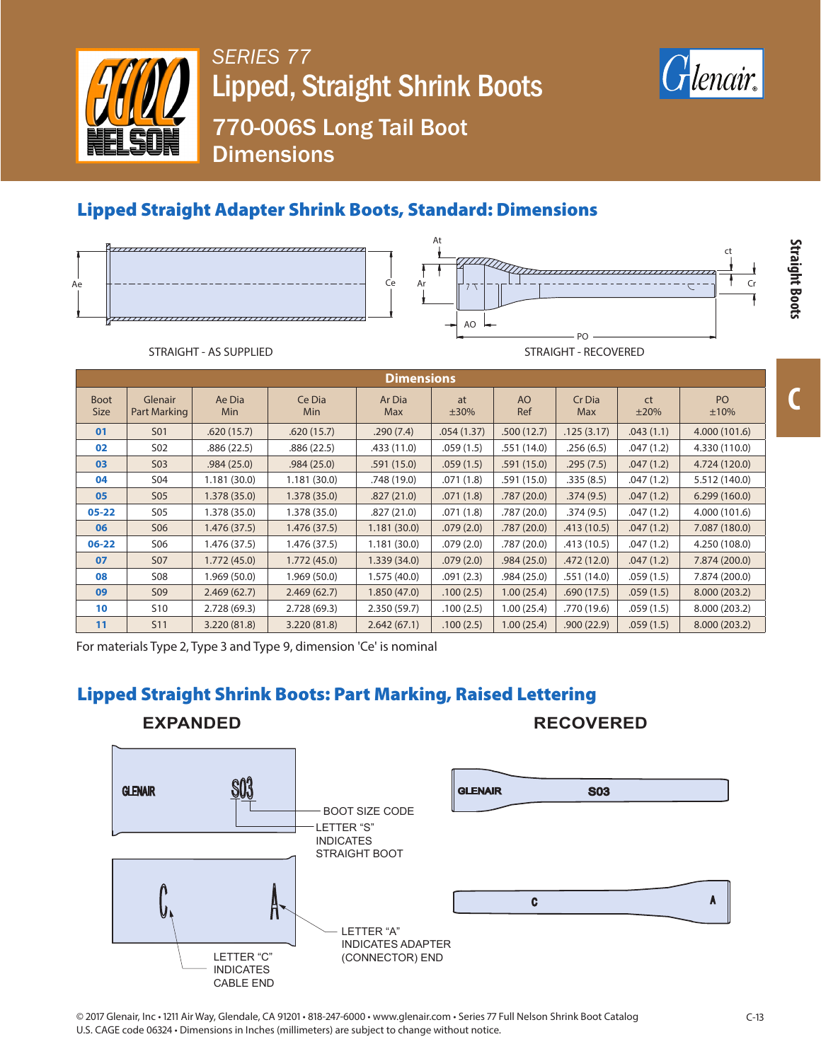

*SERIES 77*  Lipped, Straight Shrink Boots 770-006S Long Tail Boot



### Lipped Straight Adapter Shrink Boots, Standard: Dimensions

**Dimensions** 



**Dimensions** Boot Size Glenair Part Marking Ae Dia Min Ce Dia Min Ar Dia Max at ±30% AO Ref Cr Dia Max ct ±20% PO ±10% **01** S01.620 (15.7).620 (15.7).290 (7.4).054 (1.37).500 (12.7).125 (3.17).043 (1.1) 4.000 (101.6) **02** S02.886 (22.5).886 (22.5).433 (11.0).059 (1.5).551 (14.0).256 (6.5).047 (1.2) 4.330 (110.0) **03** S03.984 (25.0).984 (25.0).591 (15.0).059 (1.5).591 (15.0).295 (7.5).047 (1.2) 4.724 (120.0) **04** S04 1.181 (30.0) 1.181 (30.0).748 (19.0).071 (1.8).591 (15.0).335 (8.5).047 (1.2) 5.512 (140.0) **05** S05 1.378 (35.0) 1.378 (35.0).827 (21.0).071 (1.8).787 (20.0).374 (9.5).047 (1.2) 6.299 (160.0) **05-22** S05 1.378 (35.0) 1.378 (35.0).827 (21.0).071 (1.8).787 (20.0).374 (9.5).047 (1.2) 4.000 (101.6) **06** S06 1.476 (37.5) 1.476 (37.5) 1.181 (30.0).079 (2.0).787 (20.0).413 (10.5).047 (1.2) 7.087 (180.0) **06-22** S06 1.476 (37.5) 1.476 (37.5) 1.181 (30.0).079 (2.0).787 (20.0).413 (10.5).047 (1.2) 4.250 (108.0) **07** S07 1.772 (45.0) 1.772 (45.0) 1.339 (34.0).079 (2.0).984 (25.0).472 (12.0).047 (1.2) 7.874 (200.0) **08** S08 1.969 (50.0) 1.969 (50.0) 1.575 (40.0).091 (2.3).984 (25.0).551 (14.0).059 (1.5) 7.874 (200.0) **09** S09 2.469 (62.7) 2.469 (62.7) 1.850 (47.0).100 (2.5) 1.00 (25.4).690 (17.5).059 (1.5) 8.000 (203.2) **10** S10 2.728 (69.3) 2.728 (69.3) 2.350 (59.7).100 (2.5) 1.00 (25.4).770 (19.6).059 (1.5) 8.000 (203.2) **11** S11 3.220 (81.8) 3.220 (81.8) 2.642 (67.1).100 (2.5) 1.00 (25.4).900 (22.9).059 (1.5) 8.000 (203.2)

For materials Type 2, Type 3 and Type 9, dimension 'Ce' is nominal

#### Lipped Straight Shrink Boots: Part Marking, Raised Lettering



© 2017 Glenair, Inc • 1211 Air Way, Glendale, CA 91201 • 818-247-6000 • www.glenair.com • Series 77 Full Nelson Shrink Boot Catalog C-13 U.S. CAGE code 06324 • Dimensions in Inches (millimeters) are subject to change without notice.

**C**